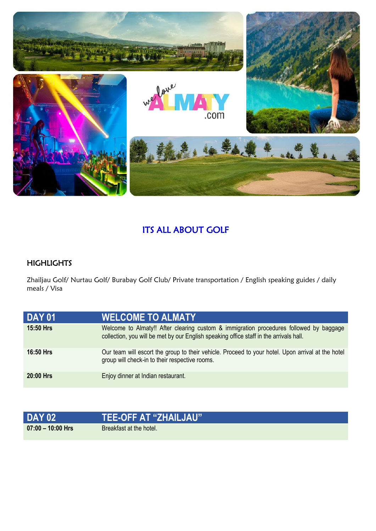

## ITS ALL ABOUT GOLF

## **HIGHLIGHTS**

Zhailjau Golf/ Nurtau Golf/ Burabay Golf Club/ Private transportation / English speaking guides / daily meals / Visa

| <b>DAY 01</b>    | <b>WELCOME TO ALMATY</b>                                                                                                                                                         |
|------------------|----------------------------------------------------------------------------------------------------------------------------------------------------------------------------------|
| <b>15:50 Hrs</b> | Welcome to Almaty!! After clearing custom & immigration procedures followed by baggage<br>collection, you will be met by our English speaking office staff in the arrivals hall. |
| <b>16:50 Hrs</b> | Our team will escort the group to their vehicle. Proceed to your hotel. Upon arrival at the hotel<br>group will check-in to their respective rooms.                              |
| 20:00 Hrs        | Enjoy dinner at Indian restaurant.                                                                                                                                               |

| <b>DAY 02</b>     | <b>TEE-OFF AT "ZHAILJAU"</b> |
|-------------------|------------------------------|
| 07:00 – 10:00 Hrs | Breakfast at the hotel.      |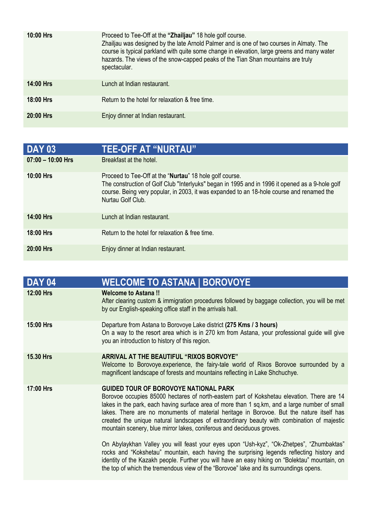| $10:00$ Hrs | Proceed to Tee-Off at the "Zhailjau" 18 hole golf course.<br>Zhailjau was designed by the late Arnold Palmer and is one of two courses in Almaty. The<br>course is typical parkland with quite some change in elevation, large greens and many water<br>hazards. The views of the snow-capped peaks of the Tian Shan mountains are truly<br>spectacular. |
|-------------|----------------------------------------------------------------------------------------------------------------------------------------------------------------------------------------------------------------------------------------------------------------------------------------------------------------------------------------------------------|
| $14:00$ Hrs | Lunch at Indian restaurant.                                                                                                                                                                                                                                                                                                                              |
| $18:00$ Hrs | Return to the hotel for relaxation & free time.                                                                                                                                                                                                                                                                                                          |
| 20:00 Hrs   | Enjoy dinner at Indian restaurant.                                                                                                                                                                                                                                                                                                                       |

| <b>DAY 03</b>       | <b>TEE-OFF AT "NURTAU"</b>                                                                                                                                                                                                                                                   |
|---------------------|------------------------------------------------------------------------------------------------------------------------------------------------------------------------------------------------------------------------------------------------------------------------------|
| $07:00 - 10:00$ Hrs | Breakfast at the hotel.                                                                                                                                                                                                                                                      |
| 10:00 Hrs           | Proceed to Tee-Off at the "Nurtau" 18 hole golf course.<br>The construction of Golf Club "Interlyuks" began in 1995 and in 1996 it opened as a 9-hole golf<br>course. Being very popular, in 2003, it was expanded to an 18-hole course and renamed the<br>Nurtau Golf Club. |
| <b>14:00 Hrs</b>    | Lunch at Indian restaurant.                                                                                                                                                                                                                                                  |
| 18:00 Hrs           | Return to the hotel for relaxation & free time.                                                                                                                                                                                                                              |
| 20:00 Hrs           | Enjoy dinner at Indian restaurant.                                                                                                                                                                                                                                           |

| <b>DAY 04</b>    | <b>WELCOME TO ASTANA   BOROVOYE</b>                                                                                                                                                                                                                                                                                                                                                                                                                                                                            |
|------------------|----------------------------------------------------------------------------------------------------------------------------------------------------------------------------------------------------------------------------------------------------------------------------------------------------------------------------------------------------------------------------------------------------------------------------------------------------------------------------------------------------------------|
| 12:00 Hrs        | <b>Welcome to Astana!!</b><br>After clearing custom & immigration procedures followed by baggage collection, you will be met<br>by our English-speaking office staff in the arrivals hall.                                                                                                                                                                                                                                                                                                                     |
| <b>15:00 Hrs</b> | Departure from Astana to Borovoye Lake district (275 Kms / 3 hours)<br>On a way to the resort area which is in 270 km from Astana, your professional guide will give<br>you an introduction to history of this region.                                                                                                                                                                                                                                                                                         |
| <b>15.30 Hrs</b> | ARRIVAL AT THE BEAUTIFUL "RIXOS BORVOYE"<br>Welcome to Borovoye.experience, the fairy-tale world of Rixos Borovoe surrounded by a<br>magnificent landscape of forests and mountains reflecting in Lake Shchuchye.                                                                                                                                                                                                                                                                                              |
| 17:00 Hrs        | <b>GUIDED TOUR OF BOROVOYE NATIONAL PARK</b><br>Borovoe occupies 85000 hectares of north-eastern part of Kokshetau elevation. There are 14<br>lakes in the park, each having surface area of more than 1 sq.km, and a large number of small<br>lakes. There are no monuments of material heritage in Borovoe. But the nature itself has<br>created the unique natural landscapes of extraordinary beauty with combination of majestic<br>mountain scenery, blue mirror lakes, coniferous and deciduous groves. |
|                  | On Abylaykhan Valley you will feast your eyes upon "Ush-kyz", "Ok-Zhetpes", "Zhumbaktas"<br>rocks and "Kokshetau" mountain, each having the surprising legends reflecting history and<br>identity of the Kazakh people. Further you will have an easy hiking on "Bolektau" mountain, on<br>the top of which the tremendous view of the "Borovoe" lake and its surroundings opens.                                                                                                                              |